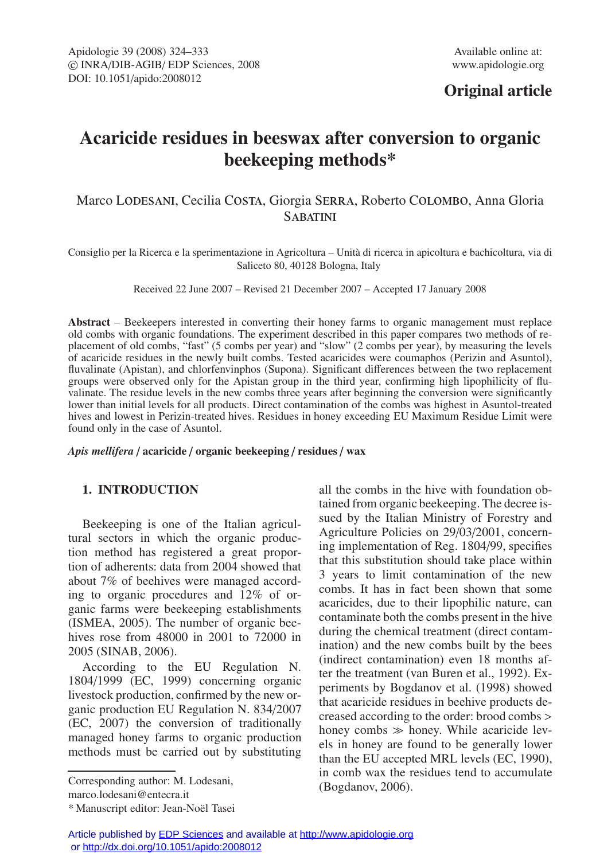# **Original article**

# **Acaricide residues in beeswax after conversion to organic beekeeping methods\***

# Marco Lodesani, Cecilia Costa, Giorgia Serra, Roberto Colombo, Anna Gloria **SABATINI**

Consiglio per la Ricerca e la sperimentazione in Agricoltura – Unità di ricerca in apicoltura e bachicoltura, via di Saliceto 80, 40128 Bologna, Italy

Received 22 June 2007 – Revised 21 December 2007 – Accepted 17 January 2008

**Abstract** – Beekeepers interested in converting their honey farms to organic management must replace old combs with organic foundations. The experiment described in this paper compares two methods of replacement of old combs, "fast" (5 combs per year) and "slow" (2 combs per year), by measuring the levels of acaricide residues in the newly built combs. Tested acaricides were coumaphos (Perizin and Asuntol), fluvalinate (Apistan), and chlorfenvinphos (Supona). Significant differences between the two replacement groups were observed only for the Apistan group in the third year, confirming high lipophilicity of fluvalinate. The residue levels in the new combs three years after beginning the conversion were significantly lower than initial levels for all products. Direct contamination of the combs was highest in Asuntol-treated hives and lowest in Perizin-treated hives. Residues in honey exceeding EU Maximum Residue Limit were found only in the case of Asuntol.

*Apis mellifera* / **acaricide** / **organic beekeeping** / **residues** / **wax**

# **1. INTRODUCTION**

Beekeeping is one of the Italian agricultural sectors in which the organic production method has registered a great proportion of adherents: data from 2004 showed that about 7% of beehives were managed according to organic procedures and 12% of organic farms were beekeeping establishments (ISMEA, 2005). The number of organic beehives rose from 48000 in 2001 to 72000 in 2005 (SINAB, 2006).

According to the EU Regulation N. 1804/1999 (EC, 1999) concerning organic livestock production, confirmed by the new organic production EU Regulation N. 834/2007 (EC, 2007) the conversion of traditionally managed honey farms to organic production methods must be carried out by substituting

Corresponding author: M. Lodesani, marco.lodesani@entecra.it

all the combs in the hive with foundation obtained from organic beekeeping. The decree issued by the Italian Ministry of Forestry and Agriculture Policies on 29/03/2001, concerning implementation of Reg. 1804/99, specifies that this substitution should take place within 3 years to limit contamination of the new combs. It has in fact been shown that some acaricides, due to their lipophilic nature, can contaminate both the combs present in the hive during the chemical treatment (direct contamination) and the new combs built by the bees (indirect contamination) even 18 months after the treatment (van Buren et al., 1992). Experiments by Bogdanov et al. (1998) showed that acaricide residues in beehive products decreased according to the order: brood combs > honey combs  $\gg$  honey. While acaricide levels in honey are found to be generally lower than the EU accepted MRL levels (EC, 1990), in comb wax the residues tend to accumulate (Bogdanov, 2006).

<sup>\*</sup> Manuscript editor: Jean-Noël Tasei

Article published by [EDP Sciences](http://www.edpsciences.org) and available at<http://www.apidologie.org> or<http://dx.doi.org/10.1051/apido:2008012>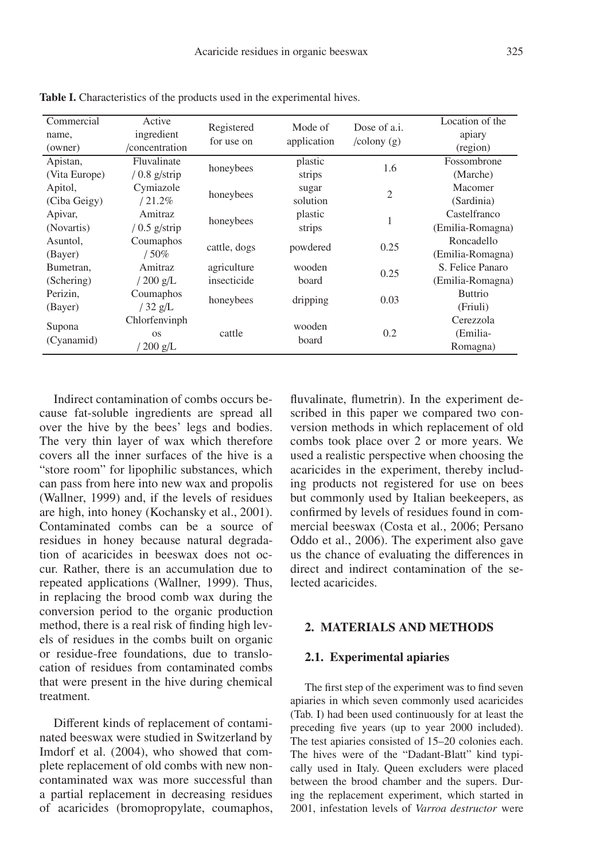| Commercial           | Active                    |                          |                        | Dose of a.i.          | Location of the  |
|----------------------|---------------------------|--------------------------|------------------------|-----------------------|------------------|
| name,                | ingredient                | Registered<br>for use on | Mode of<br>application | $\prime$ colony $(g)$ | apiary           |
| (owner)              | /concentration            |                          |                        |                       | (region)         |
| Apistan,             | Fluvalinate               | honeybees                | plastic                | 1.6                   | Fossombrone      |
| (Vita Europe)        | $/ 0.8$ g/strip           |                          | strips                 |                       | (Marche)         |
| Apitol,              | Cymiazole                 | honeybees                | sugar                  | $\overline{c}$        | Macomer          |
| (Ciba Geigy)         | /21.2%                    |                          | solution               |                       | (Sardinia)       |
| Apivar,              | Amitraz                   | honeybees                | plastic                | 1                     | Castelfranco     |
| (Novartis)           | $/ 0.5$ g/strip           |                          | strips                 |                       | (Emilia-Romagna) |
| Asuntol,             | Coumaphos                 | cattle, dogs             | powdered               | 0.25                  | Roncadello       |
| (Bayer)              | /50%                      |                          |                        |                       | (Emilia-Romagna) |
| Bumetran,            | Amitraz                   | agriculture              | wooden                 | 0.25                  | S. Felice Panaro |
| (Schering)           | $/200$ g/L                | insecticide              | board                  |                       | (Emilia-Romagna) |
| Perizin,             | Coumaphos                 | honeybees                | dripping               | 0.03                  | <b>Buttrio</b>   |
| (Bayer)              | $/32$ g/L                 |                          |                        |                       | (Friuli)         |
| Supona<br>(Cyanamid) | Chlorfenvinph             |                          | wooden                 | 0.2                   | Cerezzola        |
|                      | <b>OS</b>                 | cattle                   | board                  |                       | (Emilia-         |
|                      | $\frac{200 \text{ g}}{L}$ |                          |                        |                       | Romagna)         |

Table I. Characteristics of the products used in the experimental hives.

Indirect contamination of combs occurs because fat-soluble ingredients are spread all over the hive by the bees' legs and bodies. The very thin layer of wax which therefore covers all the inner surfaces of the hive is a "store room" for lipophilic substances, which can pass from here into new wax and propolis (Wallner, 1999) and, if the levels of residues are high, into honey (Kochansky et al., 2001). Contaminated combs can be a source of residues in honey because natural degradation of acaricides in beeswax does not occur. Rather, there is an accumulation due to repeated applications (Wallner, 1999). Thus, in replacing the brood comb wax during the conversion period to the organic production method, there is a real risk of finding high levels of residues in the combs built on organic or residue-free foundations, due to translocation of residues from contaminated combs that were present in the hive during chemical treatment.

Different kinds of replacement of contaminated beeswax were studied in Switzerland by Imdorf et al. (2004), who showed that complete replacement of old combs with new noncontaminated wax was more successful than a partial replacement in decreasing residues of acaricides (bromopropylate, coumaphos, fluvalinate, flumetrin). In the experiment described in this paper we compared two conversion methods in which replacement of old combs took place over 2 or more years. We used a realistic perspective when choosing the acaricides in the experiment, thereby including products not registered for use on bees but commonly used by Italian beekeepers, as confirmed by levels of residues found in commercial beeswax (Costa et al., 2006; Persano Oddo et al., 2006). The experiment also gave us the chance of evaluating the differences in direct and indirect contamination of the selected acaricides.

### **2. MATERIALS AND METHODS**

#### **2.1. Experimental apiaries**

The first step of the experiment was to find seven apiaries in which seven commonly used acaricides (Tab. I) had been used continuously for at least the preceding five years (up to year 2000 included). The test apiaries consisted of 15–20 colonies each. The hives were of the "Dadant-Blatt" kind typically used in Italy. Queen excluders were placed between the brood chamber and the supers. During the replacement experiment, which started in 2001, infestation levels of *Varroa destructor* were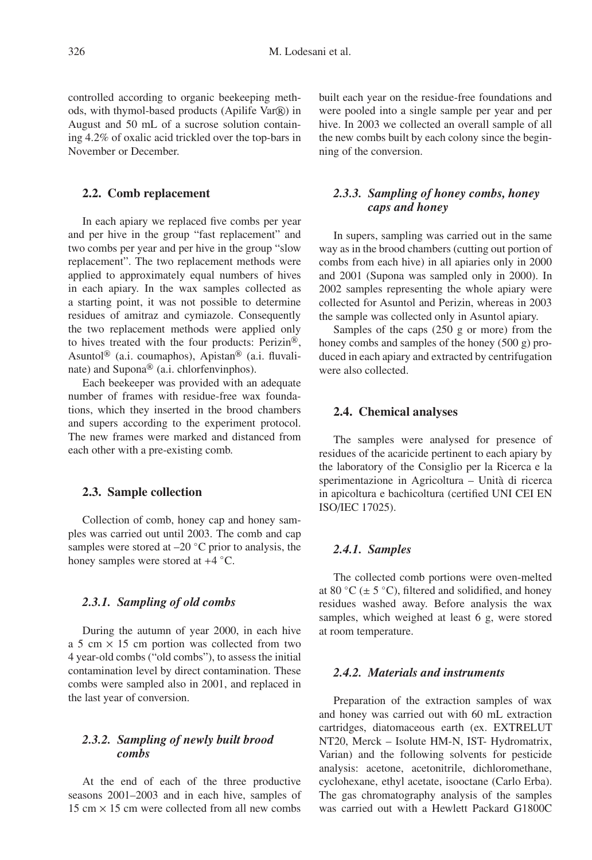controlled according to organic beekeeping methods, with thymol-based products (Apilife Var®) in August and 50 mL of a sucrose solution containing 4.2% of oxalic acid trickled over the top-bars in November or December.

#### **2.2. Comb replacement**

In each apiary we replaced five combs per year and per hive in the group "fast replacement" and two combs per year and per hive in the group "slow replacement". The two replacement methods were applied to approximately equal numbers of hives in each apiary. In the wax samples collected as a starting point, it was not possible to determine residues of amitraz and cymiazole. Consequently the two replacement methods were applied only to hives treated with the four products: Perizin®, Asuntol® (a.i. coumaphos), Apistan® (a.i. fluvalinate) and Supona® (a.i. chlorfenvinphos).

Each beekeeper was provided with an adequate number of frames with residue-free wax foundations, which they inserted in the brood chambers and supers according to the experiment protocol. The new frames were marked and distanced from each other with a pre-existing comb.

#### **2.3. Sample collection**

Collection of comb, honey cap and honey samples was carried out until 2003. The comb and cap samples were stored at  $-20$  °C prior to analysis, the honey samples were stored at +4 ◦C.

#### *2.3.1. Sampling of old combs*

During the autumn of year 2000, in each hive a 5 cm  $\times$  15 cm portion was collected from two 4 year-old combs ("old combs"), to assess the initial contamination level by direct contamination. These combs were sampled also in 2001, and replaced in the last year of conversion.

# *2.3.2. Sampling of newly built brood combs*

At the end of each of the three productive seasons 2001–2003 and in each hive, samples of  $15 \text{ cm} \times 15 \text{ cm}$  were collected from all new combs built each year on the residue-free foundations and were pooled into a single sample per year and per hive. In 2003 we collected an overall sample of all the new combs built by each colony since the beginning of the conversion.

# *2.3.3. Sampling of honey combs, honey caps and honey*

In supers, sampling was carried out in the same way as in the brood chambers (cutting out portion of combs from each hive) in all apiaries only in 2000 and 2001 (Supona was sampled only in 2000). In 2002 samples representing the whole apiary were collected for Asuntol and Perizin, whereas in 2003 the sample was collected only in Asuntol apiary.

Samples of the caps (250 g or more) from the honey combs and samples of the honey (500 g) produced in each apiary and extracted by centrifugation were also collected.

#### **2.4. Chemical analyses**

The samples were analysed for presence of residues of the acaricide pertinent to each apiary by the laboratory of the Consiglio per la Ricerca e la sperimentazione in Agricoltura – Unità di ricerca in apicoltura e bachicoltura (certified UNI CEI EN ISO/IEC 17025).

#### *2.4.1. Samples*

The collected comb portions were oven-melted at 80  $°C$  ( $\pm$  5  $°C$ ), filtered and solidified, and honey residues washed away. Before analysis the wax samples, which weighed at least 6 g, were stored at room temperature.

# *2.4.2. Materials and instruments*

Preparation of the extraction samples of wax and honey was carried out with 60 mL extraction cartridges, diatomaceous earth (ex. EXTRELUT NT20, Merck – Isolute HM-N, IST- Hydromatrix, Varian) and the following solvents for pesticide analysis: acetone, acetonitrile, dichloromethane, cyclohexane, ethyl acetate, isooctane (Carlo Erba). The gas chromatography analysis of the samples was carried out with a Hewlett Packard G1800C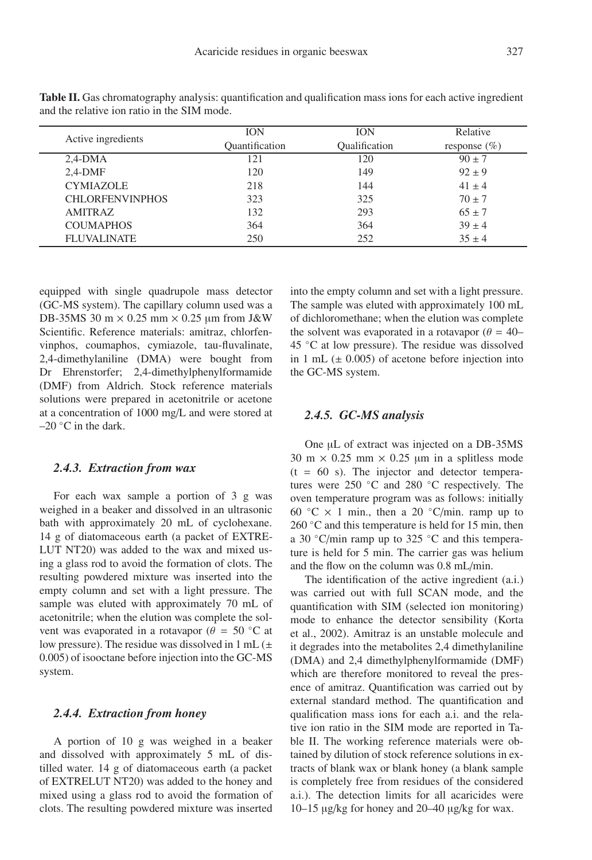| Active ingredients     | <b>ION</b>            | <b>ION</b>           | Relative         |
|------------------------|-----------------------|----------------------|------------------|
|                        | <b>Quantification</b> | <b>Qualification</b> | response $(\% )$ |
| $2.4-DMA$              | 121                   | 120                  | $90 + 7$         |
| $2.4-DMF$              | 120                   | 149                  | $92 + 9$         |
| <b>CYMIAZOLE</b>       | 218                   | 144                  | $41 \pm 4$       |
| <b>CHLORFENVINPHOS</b> | 323                   | 325                  | $70 + 7$         |
| <b>AMITRAZ</b>         | 132                   | 293                  | $65 + 7$         |
| <b>COUMAPHOS</b>       | 364                   | 364                  | $39 \pm 4$       |
| <b>FLUVALINATE</b>     | 250                   | 252                  | $35 + 4$         |

**Table II.** Gas chromatography analysis: quantification and qualification mass ions for each active ingredient and the relative ion ratio in the SIM mode.

equipped with single quadrupole mass detector (GC-MS system). The capillary column used was a DB-35MS 30 m  $\times$  0.25 mm  $\times$  0.25 µm from J&W Scientific. Reference materials: amitraz, chlorfenvinphos, coumaphos, cymiazole, tau-fluvalinate, 2,4-dimethylaniline (DMA) were bought from Dr Ehrenstorfer; 2,4-dimethylphenylformamide (DMF) from Aldrich. Stock reference materials solutions were prepared in acetonitrile or acetone at a concentration of 1000 mg/L and were stored at  $-20$  °C in the dark.

#### *2.4.3. Extraction from wax*

For each wax sample a portion of 3 g was weighed in a beaker and dissolved in an ultrasonic bath with approximately 20 mL of cyclohexane. 14 g of diatomaceous earth (a packet of EXTRE-LUT NT20) was added to the wax and mixed using a glass rod to avoid the formation of clots. The resulting powdered mixture was inserted into the empty column and set with a light pressure. The sample was eluted with approximately 70 mL of acetonitrile; when the elution was complete the solvent was evaporated in a rotavapor ( $\theta = 50$  °C at low pressure). The residue was dissolved in 1 mL  $(\pm)$ 0.005) of isooctane before injection into the GC-MS system.

#### *2.4.4. Extraction from honey*

A portion of 10 g was weighed in a beaker and dissolved with approximately 5 mL of distilled water. 14 g of diatomaceous earth (a packet of EXTRELUT NT20) was added to the honey and mixed using a glass rod to avoid the formation of clots. The resulting powdered mixture was inserted into the empty column and set with a light pressure. The sample was eluted with approximately 100 mL of dichloromethane; when the elution was complete the solvent was evaporated in a rotavapor ( $\theta = 40$ – 45 °C at low pressure). The residue was dissolved in 1 mL  $(\pm 0.005)$  of acetone before injection into the GC-MS system.

#### *2.4.5. GC-MS analysis*

One µL of extract was injected on a DB-35MS 30 m  $\times$  0.25 mm  $\times$  0.25 µm in a splitless mode  $(t = 60 s)$ . The injector and detector temperatures were 250 ◦C and 280 ◦C respectively. The oven temperature program was as follows: initially 60 °C  $\times$  1 min., then a 20 °C/min. ramp up to  $260 °C$  and this temperature is held for 15 min, then a 30 ◦C/min ramp up to 325 ◦C and this temperature is held for 5 min. The carrier gas was helium and the flow on the column was 0.8 mL/min.

The identification of the active ingredient (a.i.) was carried out with full SCAN mode, and the quantification with SIM (selected ion monitoring) mode to enhance the detector sensibility (Korta et al., 2002). Amitraz is an unstable molecule and it degrades into the metabolites 2,4 dimethylaniline (DMA) and 2,4 dimethylphenylformamide (DMF) which are therefore monitored to reveal the presence of amitraz. Quantification was carried out by external standard method. The quantification and qualification mass ions for each a.i. and the relative ion ratio in the SIM mode are reported in Table II. The working reference materials were obtained by dilution of stock reference solutions in extracts of blank wax or blank honey (a blank sample is completely free from residues of the considered a.i.). The detection limits for all acaricides were 10–15 µg/kg for honey and 20–40 µg/kg for wax.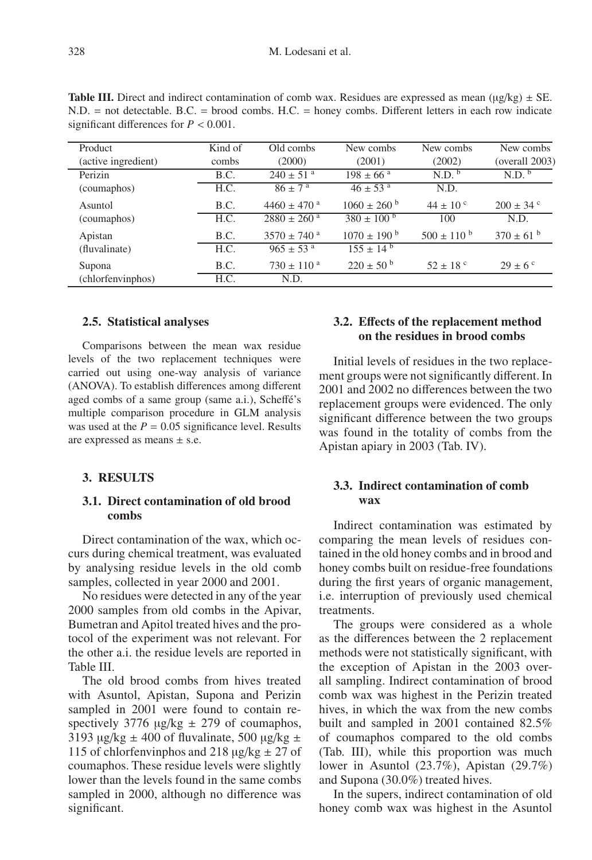**Table III.** Direct and indirect contamination of comb wax. Residues are expressed as mean  $(\mu g/kg) \pm SE$ . N.D. = not detectable. B.C. = brood combs. H.C. = honey combs. Different letters in each row indicate significant differences for  $P < 0.001$ .

| Product             | Kind of | Old combs                   | New combs                   | New combs           | New combs            |
|---------------------|---------|-----------------------------|-----------------------------|---------------------|----------------------|
| (active ingredient) | combs   | (2000)                      | (2001)                      | (2002)              | (overall 2003)       |
| Perizin             | B.C.    | $240 \pm 51$ <sup>a</sup>   | $198 \pm 66$ <sup>a</sup>   | N.D.                | N.D.                 |
| (coumaphos)         | H.C.    | $86 + 7^{\circ}$            | $46 \pm 53$ <sup>a</sup>    | N.D.                |                      |
| Asuntol             | B.C.    | $4460 \pm 470$ <sup>a</sup> | $1060 \pm 260$ b            | $44 \pm 10^{\circ}$ | $200 \pm 34$ c       |
| (coumaphos)         | H.C.    | $2880 \pm 260$ <sup>a</sup> | $380 \pm 100^{6}$           | 100                 | N.D.                 |
| Apistan             | B.C.    | $3570 \pm 740$ <sup>a</sup> | $1070 \pm 190^{\mathrm{b}}$ | $500 \pm 110^{b}$   | $370 \pm 61^{\circ}$ |
| (fluvalinate)       | H.C.    | $965 \pm 53$ <sup>a</sup>   | $155 \pm 14^{\circ}$        |                     |                      |
| Supona              | B.C.    | $730 \pm 110$ <sup>a</sup>  | $220 \pm 50^{\mathrm{b}}$   | $52 \pm 18$ c       | $29 \pm 6$ c         |
| (chlorfenvinphos)   | H.C.    | N.D.                        |                             |                     |                      |

#### **2.5. Statistical analyses**

Comparisons between the mean wax residue levels of the two replacement techniques were carried out using one-way analysis of variance (ANOVA). To establish differences among different aged combs of a same group (same a.i.), Scheffé's multiple comparison procedure in GLM analysis was used at the  $P = 0.05$  significance level. Results are expressed as means  $\pm$  s.e.

#### **3. RESULTS**

## **3.1. Direct contamination of old brood combs**

Direct contamination of the wax, which occurs during chemical treatment, was evaluated by analysing residue levels in the old comb samples, collected in year 2000 and 2001.

No residues were detected in any of the year 2000 samples from old combs in the Apivar, Bumetran and Apitol treated hives and the protocol of the experiment was not relevant. For the other a.i. the residue levels are reported in Table III.

The old brood combs from hives treated with Asuntol, Apistan, Supona and Perizin sampled in 2001 were found to contain respectively 3776  $\mu$ g/kg  $\pm$  279 of coumaphos, 3193  $\mu$ g/kg  $\pm$  400 of fluvalinate, 500  $\mu$ g/kg  $\pm$ 115 of chlorfenvinphos and 218  $\mu$ g/kg  $\pm$  27 of coumaphos. These residue levels were slightly lower than the levels found in the same combs sampled in 2000, although no difference was significant.

# **3.2. E**ff**ects of the replacement method on the residues in brood combs**

Initial levels of residues in the two replacement groups were not significantly different. In 2001 and 2002 no differences between the two replacement groups were evidenced. The only significant difference between the two groups was found in the totality of combs from the Apistan apiary in 2003 (Tab. IV).

# **3.3. Indirect contamination of comb wax**

Indirect contamination was estimated by comparing the mean levels of residues contained in the old honey combs and in brood and honey combs built on residue-free foundations during the first years of organic management, i.e. interruption of previously used chemical treatments.

The groups were considered as a whole as the differences between the 2 replacement methods were not statistically significant, with the exception of Apistan in the 2003 overall sampling. Indirect contamination of brood comb wax was highest in the Perizin treated hives, in which the wax from the new combs built and sampled in 2001 contained 82.5% of coumaphos compared to the old combs (Tab. III), while this proportion was much lower in Asuntol (23.7%), Apistan (29.7%) and Supona (30.0%) treated hives.

In the supers, indirect contamination of old honey comb wax was highest in the Asuntol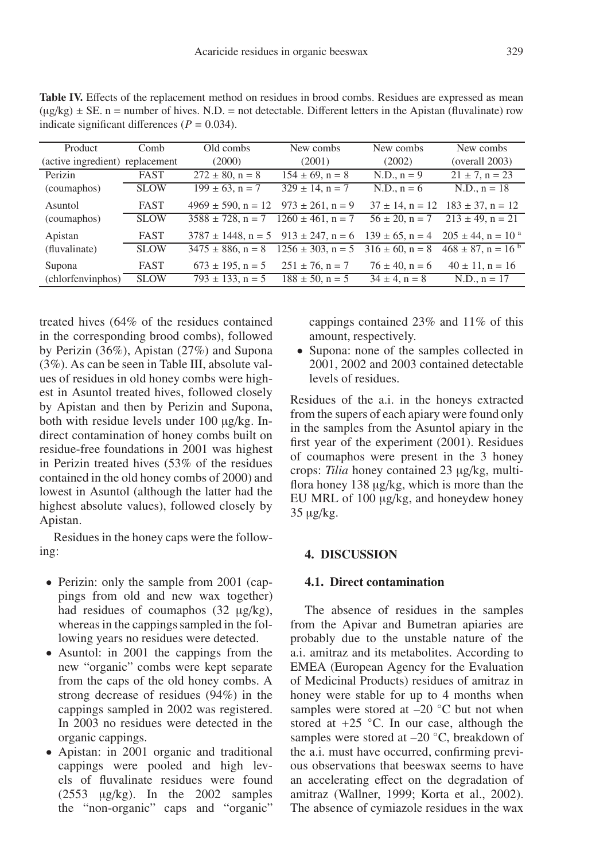**Table IV.** Effects of the replacement method on residues in brood combs. Residues are expressed as mean  $(\mu g/kg) \pm SE$ . n = number of hives. N.D. = not detectable. Different letters in the Apistan (fluvalinate) row indicate significant differences  $(P = 0.034)$ .

| Product                         | Comb        | Old combs                                                          | New combs            | New combs           | New combs                                              |
|---------------------------------|-------------|--------------------------------------------------------------------|----------------------|---------------------|--------------------------------------------------------|
| (active ingredient) replacement |             | (2000)                                                             | (2001)               | (2002)              | (overall 2003)                                         |
| Perizin                         | FAST        | $272 \pm 80$ , n = 8                                               | $154 \pm 69$ , n = 8 | $N.D., n = 9$       | $21 \pm 7$ , n = 23                                    |
| (coumaphos)                     | <b>SLOW</b> | $199 \pm 63$ , n = 7                                               | $329 \pm 14$ , n = 7 | $N.D., n = 6$       | $N.D., n = 18$                                         |
| Asuntol                         | <b>FAST</b> | $4969 \pm 590$ , n = 12 $973 \pm 261$ , n = 9                      |                      |                     | $37 \pm 14$ , $n = 12$ $183 \pm 37$ , $n = 12$         |
| (coumaphos)                     | <b>SLOW</b> | $3588 \pm 728$ , n = 7 $1260 \pm 461$ , n = 7                      |                      |                     | $56 \pm 20$ , $n = 7$ $213 \pm 49$ , $n = 21$          |
| Apistan                         | <b>FAST</b> | $3787 \pm 1448$ , n = 5 913 $\pm$ 247, n = 6                       |                      |                     | $139 \pm 65$ , n = 4 205 $\pm$ 44, n = 10 <sup>a</sup> |
| (fluvalinate)                   | <b>SLOW</b> | $3475 \pm 886$ , n = 8 1256 $\pm 303$ , n = 5 316 $\pm 60$ , n = 8 |                      |                     | $468 \pm 87$ , n = 16 <sup>b</sup>                     |
| Supona                          | <b>FAST</b> | $673 \pm 195$ , n = 5                                              | $251 \pm 76$ , n = 7 | $76 \pm 40$ , n = 6 | $40 \pm 11$ , n = 16                                   |
| (chlorfenvinphos)               | <b>SLOW</b> | $793 \pm 133$ , n = 5 $188 \pm 50$ , n = 5                         |                      | $34 \pm 4$ , n = 8  | $N.D., n = 17$                                         |

treated hives (64% of the residues contained in the corresponding brood combs), followed by Perizin (36%), Apistan (27%) and Supona (3%). As can be seen in Table III, absolute values of residues in old honey combs were highest in Asuntol treated hives, followed closely by Apistan and then by Perizin and Supona, both with residue levels under 100 µg/kg. Indirect contamination of honey combs built on residue-free foundations in 2001 was highest in Perizin treated hives (53% of the residues contained in the old honey combs of 2000) and lowest in Asuntol (although the latter had the highest absolute values), followed closely by Apistan.

Residues in the honey caps were the following:

- Perizin: only the sample from 2001 (cappings from old and new wax together) had residues of coumaphos (32 µg/kg), whereas in the cappings sampled in the following years no residues were detected.
- Asuntol: in 2001 the cappings from the new "organic" combs were kept separate from the caps of the old honey combs. A strong decrease of residues (94%) in the cappings sampled in 2002 was registered. In 2003 no residues were detected in the organic cappings.
- Apistan: in 2001 organic and traditional cappings were pooled and high levels of fluvalinate residues were found (2553 µg/kg). In the 2002 samples the "non-organic" caps and "organic"

cappings contained 23% and 11% of this amount, respectively.

• Supona: none of the samples collected in 2001, 2002 and 2003 contained detectable levels of residues.

Residues of the a.i. in the honeys extracted from the supers of each apiary were found only in the samples from the Asuntol apiary in the first year of the experiment (2001). Residues of coumaphos were present in the 3 honey crops: *Tilia* honey contained 23 µg/kg, multiflora honey 138 µg/kg, which is more than the EU MRL of 100 µg/kg, and honeydew honey 35 µg/kg.

#### **4. DISCUSSION**

#### **4.1. Direct contamination**

The absence of residues in the samples from the Apivar and Bumetran apiaries are probably due to the unstable nature of the a.i. amitraz and its metabolites. According to EMEA (European Agency for the Evaluation of Medicinal Products) residues of amitraz in honey were stable for up to 4 months when samples were stored at  $-20$  °C but not when stored at  $+25$  °C. In our case, although the samples were stored at  $-20$  °C, breakdown of the a.i. must have occurred, confirming previous observations that beeswax seems to have an accelerating effect on the degradation of amitraz (Wallner, 1999; Korta et al., 2002). The absence of cymiazole residues in the wax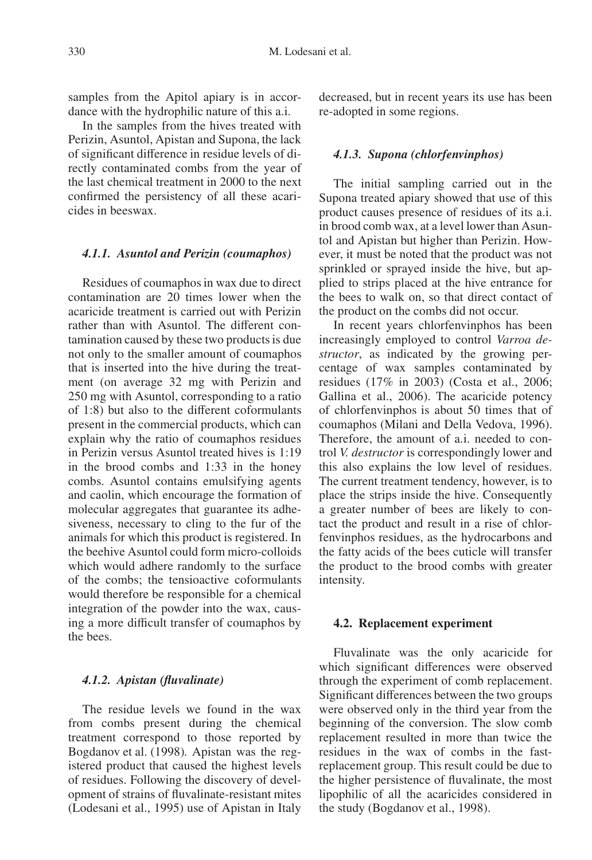samples from the Apitol apiary is in accordance with the hydrophilic nature of this a.i.

In the samples from the hives treated with Perizin, Asuntol, Apistan and Supona, the lack of significant difference in residue levels of directly contaminated combs from the year of the last chemical treatment in 2000 to the next confirmed the persistency of all these acaricides in beeswax.

#### *4.1.1. Asuntol and Perizin (coumaphos)*

Residues of coumaphos in wax due to direct contamination are 20 times lower when the acaricide treatment is carried out with Perizin rather than with Asuntol. The different contamination caused by these two products is due not only to the smaller amount of coumaphos that is inserted into the hive during the treatment (on average 32 mg with Perizin and 250 mg with Asuntol, corresponding to a ratio of 1:8) but also to the different coformulants present in the commercial products, which can explain why the ratio of coumaphos residues in Perizin versus Asuntol treated hives is 1:19 in the brood combs and 1:33 in the honey combs. Asuntol contains emulsifying agents and caolin, which encourage the formation of molecular aggregates that guarantee its adhesiveness, necessary to cling to the fur of the animals for which this product is registered. In the beehive Asuntol could form micro-colloids which would adhere randomly to the surface of the combs; the tensioactive coformulants would therefore be responsible for a chemical integration of the powder into the wax, causing a more difficult transfer of coumaphos by the bees.

#### *4.1.2. Apistan (fluvalinate)*

The residue levels we found in the wax from combs present during the chemical treatment correspond to those reported by Bogdanov et al. (1998). Apistan was the registered product that caused the highest levels of residues. Following the discovery of development of strains of fluvalinate-resistant mites (Lodesani et al., 1995) use of Apistan in Italy decreased, but in recent years its use has been re-adopted in some regions.

#### *4.1.3. Supona (chlorfenvinphos)*

The initial sampling carried out in the Supona treated apiary showed that use of this product causes presence of residues of its a.i. in brood comb wax, at a level lower than Asuntol and Apistan but higher than Perizin. However, it must be noted that the product was not sprinkled or sprayed inside the hive, but applied to strips placed at the hive entrance for the bees to walk on, so that direct contact of the product on the combs did not occur.

In recent years chlorfenvinphos has been increasingly employed to control *Varroa destructor*, as indicated by the growing percentage of wax samples contaminated by residues (17% in 2003) (Costa et al., 2006; Gallina et al., 2006). The acaricide potency of chlorfenvinphos is about 50 times that of coumaphos (Milani and Della Vedova, 1996). Therefore, the amount of a.i. needed to control *V. destructor* is correspondingly lower and this also explains the low level of residues. The current treatment tendency, however, is to place the strips inside the hive. Consequently a greater number of bees are likely to contact the product and result in a rise of chlorfenvinphos residues, as the hydrocarbons and the fatty acids of the bees cuticle will transfer the product to the brood combs with greater intensity.

#### **4.2. Replacement experiment**

Fluvalinate was the only acaricide for which significant differences were observed through the experiment of comb replacement. Significant differences between the two groups were observed only in the third year from the beginning of the conversion. The slow comb replacement resulted in more than twice the residues in the wax of combs in the fastreplacement group. This result could be due to the higher persistence of fluvalinate, the most lipophilic of all the acaricides considered in the study (Bogdanov et al., 1998).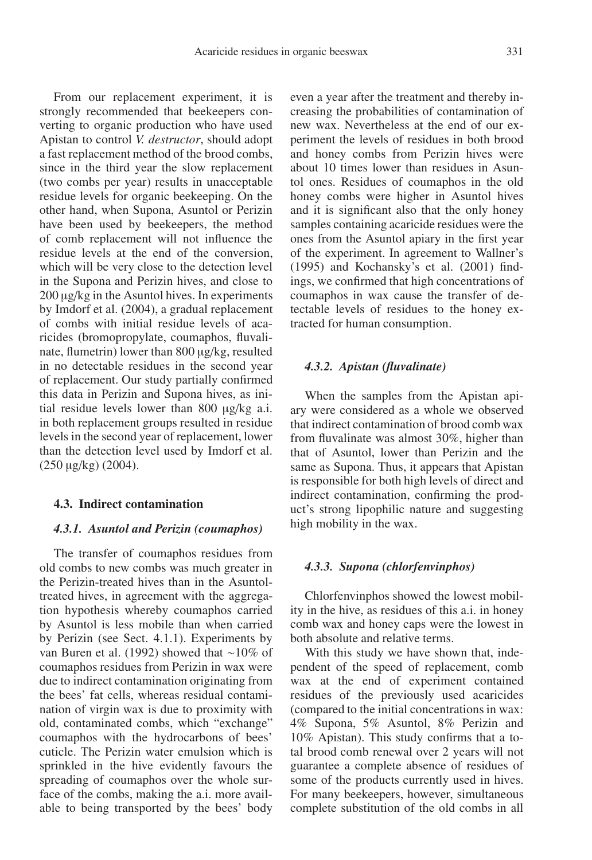From our replacement experiment, it is strongly recommended that beekeepers converting to organic production who have used Apistan to control *V. destructor*, should adopt a fast replacement method of the brood combs, since in the third year the slow replacement (two combs per year) results in unacceptable residue levels for organic beekeeping. On the other hand, when Supona, Asuntol or Perizin have been used by beekeepers, the method of comb replacement will not influence the residue levels at the end of the conversion, which will be very close to the detection level in the Supona and Perizin hives, and close to 200 µg/kg in the Asuntol hives. In experiments by Imdorf et al. (2004), a gradual replacement of combs with initial residue levels of acaricides (bromopropylate, coumaphos, fluvalinate, flumetrin) lower than 800 µg/kg, resulted in no detectable residues in the second year of replacement. Our study partially confirmed this data in Perizin and Supona hives, as initial residue levels lower than 800 µg/kg a.i. in both replacement groups resulted in residue levels in the second year of replacement, lower than the detection level used by Imdorf et al. (250 µg/kg) (2004).

#### **4.3. Indirect contamination**

#### *4.3.1. Asuntol and Perizin (coumaphos)*

The transfer of coumaphos residues from old combs to new combs was much greater in the Perizin-treated hives than in the Asuntoltreated hives, in agreement with the aggregation hypothesis whereby coumaphos carried by Asuntol is less mobile than when carried by Perizin (see Sect. 4.1.1). Experiments by van Buren et al. (1992) showed that ∼10% of coumaphos residues from Perizin in wax were due to indirect contamination originating from the bees' fat cells, whereas residual contamination of virgin wax is due to proximity with old, contaminated combs, which "exchange" coumaphos with the hydrocarbons of bees' cuticle. The Perizin water emulsion which is sprinkled in the hive evidently favours the spreading of coumaphos over the whole surface of the combs, making the a.i. more available to being transported by the bees' body even a year after the treatment and thereby increasing the probabilities of contamination of new wax. Nevertheless at the end of our experiment the levels of residues in both brood and honey combs from Perizin hives were about 10 times lower than residues in Asuntol ones. Residues of coumaphos in the old honey combs were higher in Asuntol hives and it is significant also that the only honey samples containing acaricide residues were the ones from the Asuntol apiary in the first year of the experiment. In agreement to Wallner's (1995) and Kochansky's et al. (2001) findings, we confirmed that high concentrations of coumaphos in wax cause the transfer of detectable levels of residues to the honey extracted for human consumption.

## *4.3.2. Apistan (fluvalinate)*

When the samples from the Apistan apiary were considered as a whole we observed that indirect contamination of brood comb wax from fluvalinate was almost 30%, higher than that of Asuntol, lower than Perizin and the same as Supona. Thus, it appears that Apistan is responsible for both high levels of direct and indirect contamination, confirming the product's strong lipophilic nature and suggesting high mobility in the wax.

#### *4.3.3. Supona (chlorfenvinphos)*

Chlorfenvinphos showed the lowest mobility in the hive, as residues of this a.i. in honey comb wax and honey caps were the lowest in both absolute and relative terms.

With this study we have shown that, independent of the speed of replacement, comb wax at the end of experiment contained residues of the previously used acaricides (compared to the initial concentrations in wax: 4% Supona, 5% Asuntol, 8% Perizin and 10% Apistan). This study confirms that a total brood comb renewal over 2 years will not guarantee a complete absence of residues of some of the products currently used in hives. For many beekeepers, however, simultaneous complete substitution of the old combs in all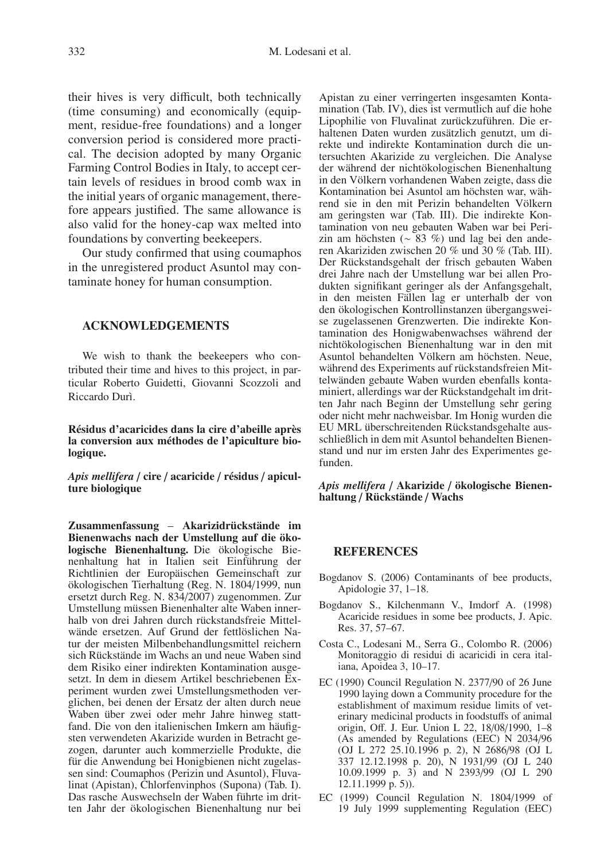their hives is very difficult, both technically (time consuming) and economically (equipment, residue-free foundations) and a longer conversion period is considered more practical. The decision adopted by many Organic Farming Control Bodies in Italy, to accept certain levels of residues in brood comb wax in the initial years of organic management, therefore appears justified. The same allowance is also valid for the honey-cap wax melted into foundations by converting beekeepers.

Our study confirmed that using coumaphos in the unregistered product Asuntol may contaminate honey for human consumption.

## **ACKNOWLEDGEMENTS**

We wish to thank the beekeepers who contributed their time and hives to this project, in particular Roberto Guidetti, Giovanni Scozzoli and Riccardo Durì.

**Résidus d'acaricides dans la cire d'abeille après la conversion aux méthodes de l'apiculture biologique.**

*Apis mellifera* / **cire** / **acaricide** / **résidus** / **apiculture biologique**

**Zusammenfassung** – **Akarizidrückstände im Bienenwachs nach der Umstellung auf die ökologische Bienenhaltung.** Die ökologische Bienenhaltung hat in Italien seit Einführung der Richtlinien der Europäischen Gemeinschaft zur ökologischen Tierhaltung (Reg. N. 1804/1999, nun ersetzt durch Reg. N. 834/2007) zugenommen. Zur Umstellung müssen Bienenhalter alte Waben innerhalb von drei Jahren durch rückstandsfreie Mittelwände ersetzen. Auf Grund der fettlöslichen Natur der meisten Milbenbehandlungsmittel reichern sich Rückstände im Wachs an und neue Waben sind dem Risiko einer indirekten Kontamination ausgesetzt. In dem in diesem Artikel beschriebenen Experiment wurden zwei Umstellungsmethoden verglichen, bei denen der Ersatz der alten durch neue Waben über zwei oder mehr Jahre hinweg stattfand. Die von den italienischen Imkern am häufigsten verwendeten Akarizide wurden in Betracht gezogen, darunter auch kommerzielle Produkte, die für die Anwendung bei Honigbienen nicht zugelassen sind: Coumaphos (Perizin und Asuntol), Fluvalinat (Apistan), Chlorfenvinphos (Supona) (Tab. I). Das rasche Auswechseln der Waben führte im dritten Jahr der ökologischen Bienenhaltung nur bei

Apistan zu einer verringerten insgesamten Kontamination (Tab. IV), dies ist vermutlich auf die hohe Lipophilie von Fluvalinat zurückzuführen. Die erhaltenen Daten wurden zusätzlich genutzt, um direkte und indirekte Kontamination durch die untersuchten Akarizide zu vergleichen. Die Analyse der während der nichtökologischen Bienenhaltung in den Völkern vorhandenen Waben zeigte, dass die Kontamination bei Asuntol am höchsten war, während sie in den mit Perizin behandelten Völkern am geringsten war (Tab. III). Die indirekte Kontamination von neu gebauten Waben war bei Perizin am höchsten (∼ 83 %) und lag bei den anderen Akariziden zwischen 20 % und 30 % (Tab. III). Der Rückstandsgehalt der frisch gebauten Waben drei Jahre nach der Umstellung war bei allen Produkten signifikant geringer als der Anfangsgehalt, in den meisten Fällen lag er unterhalb der von den ökologischen Kontrollinstanzen übergangsweise zugelassenen Grenzwerten. Die indirekte Kontamination des Honigwabenwachses während der nichtökologischen Bienenhaltung war in den mit Asuntol behandelten Völkern am höchsten. Neue, während des Experiments auf rückstandsfreien Mittelwänden gebaute Waben wurden ebenfalls kontaminiert, allerdings war der Rückstandgehalt im dritten Jahr nach Beginn der Umstellung sehr gering oder nicht mehr nachweisbar. Im Honig wurden die EU MRL überschreitenden Rückstandsgehalte ausschließlich in dem mit Asuntol behandelten Bienenstand und nur im ersten Jahr des Experimentes gefunden.

*Apis mellifera* / **Akarizide** / **ökologische Bienenhaltung** / **Rückstände** / **Wachs**

#### **REFERENCES**

- Bogdanov S. (2006) Contaminants of bee products, Apidologie 37, 1–18.
- Bogdanov S., Kilchenmann V., Imdorf A. (1998) Acaricide residues in some bee products, J. Apic. Res. 37, 57–67.
- Costa C., Lodesani M., Serra G., Colombo R. (2006) Monitoraggio di residui di acaricidi in cera italiana, Apoidea 3, 10–17.
- EC (1990) Council Regulation N. 2377/90 of 26 June 1990 laying down a Community procedure for the establishment of maximum residue limits of veterinary medicinal products in foodstuffs of animal origin, Off. J. Eur. Union L 22, 18/08/1990, 1–8 (As amended by Regulations (EEC) N 2034/96 (OJ L 272 25.10.1996 p. 2), N 2686/98 (OJ L 337 12.12.1998 p. 20), N 1931/99 (OJ L 240 10.09.1999 p. 3) and N 2393/99 (OJ L 290 12.11.1999 p. 5)).
- EC (1999) Council Regulation N. 1804/1999 of 19 July 1999 supplementing Regulation (EEC)